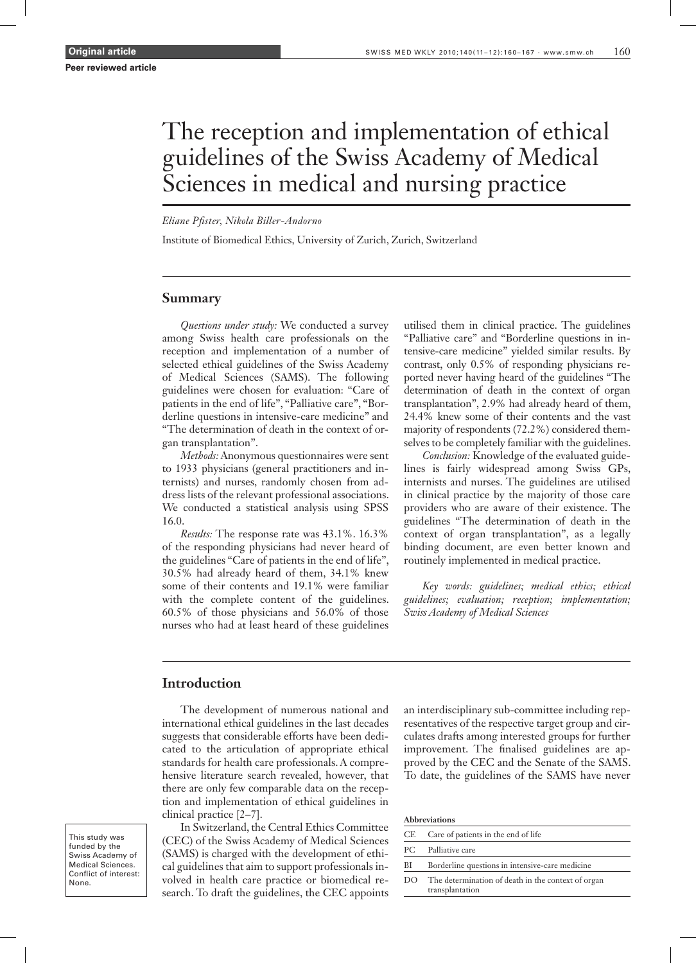# The reception and implementation of ethical guidelines of the Swiss Academy of Medical Sciences in medical and nursing practice

*Eliane Pfister, Nikola Biller-Andorno*

Institute of Biomedical Ethics, University of Zurich, Zurich, Switzerland

# **Summary**

*Questions under study:* We conducted a survey among Swiss health care professionals on the reception and implementation of a number of selected ethical guidelines of the Swiss Academy of Medical Sciences (SAMS). The following guidelines were chosen for evaluation: "Care of patients in the end of life", "Palliative care", "Borderline questions in intensive-care medicine" and "The determination of death in the context of organ transplantation".

*Methods:* Anonymous questionnaires were sent to 1933 physicians (general practitioners and internists) and nurses, randomly chosen from address lists of the relevant professional associations. We conducted a statistical analysis using SPSS 16.0.

*Results:* The response rate was 43.1%. 16.3% of the responding physicians had never heard of the guidelines "Care of patients in the end of life", 30.5% had already heard of them, 34.1% knew some of their contents and 19.1% were familiar with the complete content of the guidelines. 60.5% of those physicians and 56.0% of those nurses who had at least heard of these guidelines

utilised them in clinical practice. The guidelines "Palliative care" and "Borderline questions in intensive-care medicine" yielded similar results. By contrast, only 0.5% of responding physicians reported never having heard of the guidelines "The determination of death in the context of organ transplantation", 2.9% had already heard of them, 24.4% knew some of their contents and the vast majority of respondents (72.2%) considered themselves to be completely familiar with the guidelines.

*Conclusion:* Knowledge of the evaluated guidelines is fairly widespread among Swiss GPs, internists and nurses. The guidelines are utilised in clinical practice by the majority of those care providers who are aware of their existence. The guidelines "The determination of death in the context of organ transplantation", as a legally binding document, are even better known and routinely implemented in medical practice.

*Key words: guidelines; medical ethics; ethical guidelines; evaluation; reception; implementation; Swiss Academy of Medical Sciences*

## **Introduction**

The development of numerous national and international ethical guidelines in the last decades suggests that considerable efforts have been dedicated to the articulation of appropriate ethical standards for health care professionals. A comprehensive literature search revealed, however, that there are only few comparable data on the reception and implementation of ethical guidelines in clinical practice [2–7].

This study was funded by the Swiss Academy of Medical Sciences. Conflict of interest: None.

In Switzerland, the Central Ethics Committee (CEC) of the Swiss Academy of Medical Sciences (SAMS) is charged with the development of ethical guidelines that aim to support professionals involved in health care practice or biomedical research. To draft the guidelines, the CEC appoints an interdisciplinary sub-committee including representatives of the respective target group and circulates drafts among interested groups for further improvement. The finalised guidelines are approved by the CEC and the Senate of the SAMS. To date, the guidelines of the SAMS have never

| CE. | Care of patients in the end of life                                   |
|-----|-----------------------------------------------------------------------|
|     | PC Palliative care                                                    |
| BI  | Borderline questions in intensive-care medicine                       |
| DO  | The determination of death in the context of organ<br>transplantation |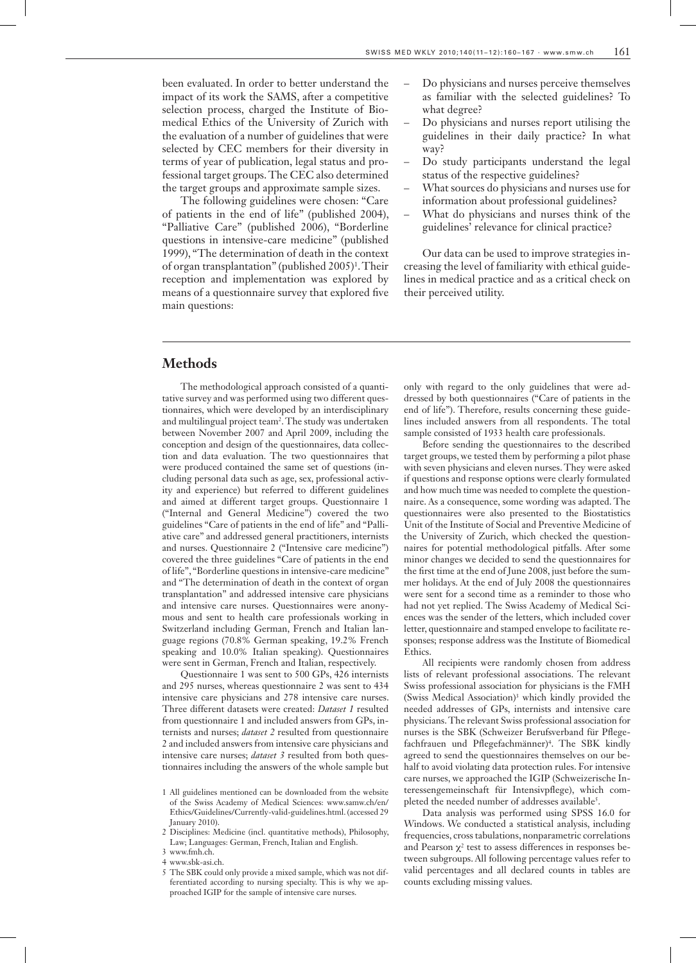been evaluated. In order to better understand the impact of its work the SAMS, after a competitive selection process, charged the Institute of Biomedical Ethics of the University of Zurich with the evaluation of a number of guidelines that were selected by CEC members for their diversity in terms of year of publication, legal status and professional target groups. The CEC also determined the target groups and approximate sample sizes.

The following guidelines were chosen: "Care of patients in the end of life" (published 2004), "Palliative Care" (published 2006), "Borderline questions in intensive-care medicine" (published 1999), "The determination of death in the context of organ transplantation" (published 2005)<sup>1</sup> . Their reception and implementation was explored by means of a questionnaire survey that explored five main questions:

- Do physicians and nurses perceive themselves as familiar with the selected guidelines? To what degree?
- Do physicians and nurses report utilising the guidelines in their daily practice? In what way?
- Do study participants understand the legal status of the respective guidelines?
- What sources do physicians and nurses use for information about professional guidelines?
- What do physicians and nurses think of the guidelines' relevance for clinical practice?

Our data can be used to improve strategies increasing the level of familiarity with ethical guidelines in medical practice and as a critical check on their perceived utility.

## **Methods**

The methodological approach consisted of a quantitative survey and was performed using two different questionnaires, which were developed by an interdisciplinary and multilingual project team<sup>2</sup> . The study was undertaken between November 2007 and April 2009, including the conception and design of the questionnaires, data collection and data evaluation. The two questionnaires that were produced contained the same set of questions (including personal data such as age, sex, professional activity and experience) but referred to different guidelines and aimed at different target groups. Questionnaire 1 ("Internal and General Medicine") covered the two guidelines "Care of patients in the end of life" and "Palliative care" and addressed general practitioners, internists and nurses. Questionnaire 2 ("Intensive care medicine") covered the three guidelines "Care of patients in the end of life", "Borderline questions in intensive-care medicine" and "The determination of death in the context of organ transplantation" and addressed intensive care physicians and intensive care nurses. Questionnaires were anonymous and sent to health care professionals working in Switzerland including German, French and Italian language regions (70.8% German speaking, 19.2% French speaking and 10.0% Italian speaking). Questionnaires were sent in German, French and Italian, respectively.

Questionnaire 1 was sent to 500 GPs, 426 internists and 295 nurses, whereas questionnaire 2 was sent to 434 intensive care physicians and 278 intensive care nurses. Three different datasets were created: *Dataset 1* resulted from questionnaire 1 and included answers from GPs, internists and nurses; *dataset 2* resulted from questionnaire 2 and included answers from intensive care physicians and intensive care nurses; *dataset 3* resulted from both questionnaires including the answers of the whole sample but

- 1 All guidelines mentioned can be downloaded from the website of the Swiss Academy of Medical Sciences: www.samw.ch/en/ Ethics/Guidelines/Currently-valid-guidelines.html. (accessed 29 January 2010).
- 2 Disciplines: Medicine (incl. quantitative methods), Philosophy, Law; Languages: German, French, Italian and English.
- 3 www.fmh.ch.
- 4 www.sbk-asi.ch.
- 5 The SBK could only provide a mixed sample, which was not differentiated according to nursing specialty. This is why we approached IGIP for the sample of intensive care nurses.

only with regard to the only guidelines that were addressed by both questionnaires ("Care of patients in the end of life"). Therefore, results concerning these guidelines included answers from all respondents. The total sample consisted of 1933 health care professionals.

Before sending the questionnaires to the described target groups, we tested them by performing a pilot phase with seven physicians and eleven nurses. They were asked if questions and response options were clearly formulated and how much time was needed to complete the questionnaire. As a consequence, some wording was adapted. The questionnaires were also presented to the Biostatistics Unit of the Institute of Social and Preventive Medicine of the University of Zurich, which checked the questionnaires for potential methodological pitfalls. After some minor changes we decided to send the questionnaires for the first time at the end of June 2008, just before the summer holidays. At the end of July 2008 the questionnaires were sent for a second time as a reminder to those who had not yet replied. The Swiss Academy of Medical Sciences was the sender of the letters, which included cover letter, questionnaire and stamped envelope to facilitate responses; response address was the Institute of Biomedical **Ethics** 

All recipients were randomly chosen from address lists of relevant professional associations. The relevant Swiss professional association for physicians is the FMH (Swiss Medical Association)<sup>3</sup> which kindly provided the needed addresses of GPs, internists and intensive care physicians. The relevant Swiss professional association for nurses is the SBK (Schweizer Berufsverband für Pflegefachfrauen und Pflegefachmänner)<sup>4</sup>. The SBK kindly agreed to send the questionnaires themselves on our behalf to avoid violating data protection rules. For intensive care nurses, we approached the IGIP (Schweizerische Interessengemeinschaft für Intensivpflege), which completed the needed number of addresses available<sup>5</sup>.

Data analysis was performed using SPSS 16.0 for Windows. We conducted a statistical analysis, including frequencies, cross tabulations, nonparametric correlations and Pearson  $\chi^2$  test to assess differences in responses between subgroups. All following percentage values refer to valid percentages and all declared counts in tables are counts excluding missing values.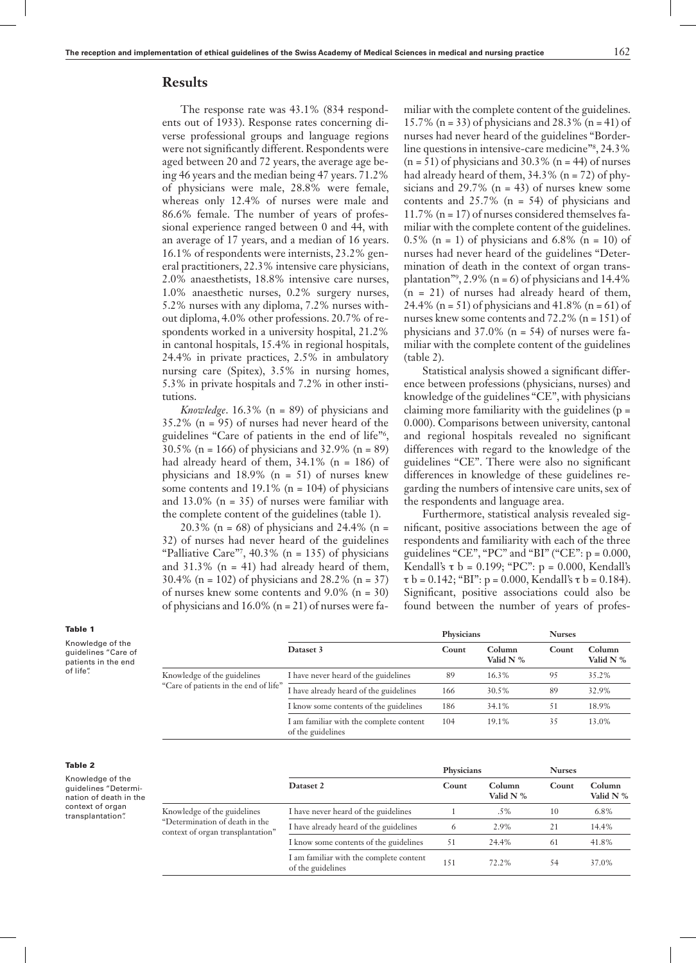## **Results**

The response rate was 43.1% (834 respondents out of 1933). Response rates concerning diverse professional groups and language regions were not significantly different. Respondents were aged between 20 and 72 years, the average age being 46 years and the median being 47 years. 71.2% of physicians were male, 28.8% were female, whereas only 12.4% of nurses were male and 86.6% female. The number of years of professional experience ranged between 0 and 44, with an average of 17 years, and a median of 16 years. 16.1% of respondents were internists, 23.2% general practitioners, 22.3% intensive care physicians, 2.0% anaesthetists, 18.8% intensive care nurses, 1.0% anaesthetic nurses, 0.2% surgery nurses, 5.2% nurses with any diploma, 7.2% nurses without diploma, 4.0% other professions. 20.7% of respondents worked in a university hospital, 21.2% in cantonal hospitals, 15.4% in regional hospitals, 24.4% in private practices, 2.5% in ambulatory nursing care (Spitex), 3.5% in nursing homes, 5.3% in private hospitals and 7.2% in other institutions.

*Knowledge*. 16.3% (n = 89) of physicians and 35.2% (n = 95) of nurses had never heard of the guidelines "Care of patients in the end of life"<sup>6</sup> , 30.5% (n = 166) of physicians and 32.9% (n = 89) had already heard of them, 34.1% (n = 186) of physicians and  $18.9\%$  (n = 51) of nurses knew some contents and  $19.1\%$  (n = 104) of physicians and  $13.0\%$  (n = 35) of nurses were familiar with the complete content of the guidelines (table 1).

20.3% (n = 68) of physicians and 24.4% (n = 32) of nurses had never heard of the guidelines "Palliative Care"<sup>7</sup>, 40.3% ( $n = 135$ ) of physicians and  $31.3\%$  (n = 41) had already heard of them, 30.4% (n = 102) of physicians and 28.2% (n = 37) of nurses knew some contents and 9.0% (n = 30) of physicians and  $16.0\%$  (n = 21) of nurses were familiar with the complete content of the guidelines. 15.7% (n = 33) of physicians and 28.3% (n = 41) of nurses had never heard of the guidelines "Borderline questions in intensive-care medicine<sup>78</sup>, 24.3%  $(n = 51)$  of physicians and 30.3%  $(n = 44)$  of nurses had already heard of them,  $34.3\%$  (n = 72) of physicians and  $29.7\%$  (n = 43) of nurses knew some contents and 25.7% (n = 54) of physicians and 11.7% (n= 17) of nurses considered themselves familiar with the complete content of the guidelines.  $0.5\%$  (n = 1) of physicians and 6.8% (n = 10) of nurses had never heard of the guidelines "Determination of death in the context of organ transplantation",  $2.9\%$  (n = 6) of physicians and 14.4%  $(n = 21)$  of nurses had already heard of them, 24.4% (n = 51) of physicians and  $41.8\%$  (n = 61) of nurses knew some contents and 72.2% (n= 151) of physicians and  $37.0\%$  (n = 54) of nurses were familiar with the complete content of the guidelines (table 2).

Statistical analysis showed a significant difference between professions (physicians, nurses) and knowledge of the guidelines "CE", with physicians claiming more familiarity with the guidelines (p = 0.000). Comparisons between university, cantonal and regional hospitals revealed no significant differences with regard to the knowledge of the guidelines "CE". There were also no significant differences in knowledge of these guidelines regarding the numbers of intensive care units, sex of the respondents and language area.

Furthermore, statistical analysis revealed significant, positive associations between the age of respondents and familiarity with each of the three guidelines "CE", "PC" and "BI" ("CE":  $p = 0.000$ , Kendall's  $\tau$  b = 0.199; "PC": p = 0.000, Kendall's  $\tau$  b = 0.142; "BI": p = 0.000, Kendall's  $\tau$  b = 0.184). Significant, positive associations could also be found between the number of years of profes-

| Knowledge of the    |
|---------------------|
| quidelines "Care of |
| patients in the end |
| of life".           |

Table 1

Table 2

Knowledge of the guidelines "Determination of death in the context of organ transplantation".

|                                       |                                                              | Physicians |                       | <b>Nurses</b> |                       |
|---------------------------------------|--------------------------------------------------------------|------------|-----------------------|---------------|-----------------------|
|                                       | Dataset 3                                                    | Count      | Column<br>Valid $N\%$ | Count         | Column<br>Valid $N\%$ |
| Knowledge of the guidelines           | I have never heard of the guidelines                         | 89         | 16.3%                 | 95            | 35.2%                 |
| "Care of patients in the end of life" | I have already heard of the guidelines                       | 166        | 30.5%                 | 89            | 32.9%                 |
|                                       | I know some contents of the guidelines                       | 186        | 34.1%                 | 51            | 18.9%                 |
|                                       | I am familiar with the complete content<br>of the guidelines | 104        | 19.1%                 | 35            | 13.0%                 |

|                                                                     |                                                              | Physicians |                       | <b>Nurses</b> |                     |
|---------------------------------------------------------------------|--------------------------------------------------------------|------------|-----------------------|---------------|---------------------|
|                                                                     | Dataset 2                                                    | Count      | Column<br>Valid $N\%$ | Count         | Column<br>Valid N % |
| Knowledge of the guidelines                                         | I have never heard of the guidelines                         |            | .5%                   | 10            | 6.8%                |
| "Determination of death in the<br>context of organ transplantation" | I have already heard of the guidelines                       | 6          | 2.9%                  |               | 14.4%               |
|                                                                     | I know some contents of the guidelines                       | 51         | 24.4%                 | -61           | 41.8%               |
|                                                                     | I am familiar with the complete content<br>of the guidelines | 151        | 72.2%                 | 54            | 37.0%               |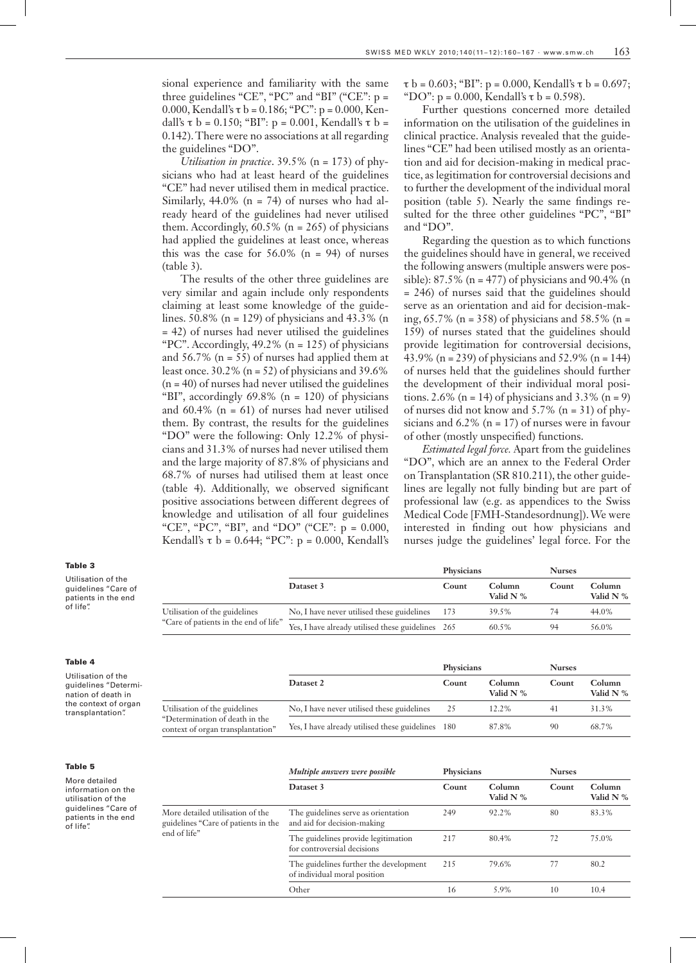sional experience and familiarity with the same three guidelines "CE", "PC" and "BI" ("CE":  $p =$ 0.000, Kendall's τ b = 0.186; "PC": p = 0.000, Kendall's τ b = 0.150; "BI": p = 0.001, Kendall's τ b = 0.142). There were no associations at all regarding the guidelines "DO".

*Utilisation in practice*. 39.5% (n = 173) of physicians who had at least heard of the guidelines "CE" had never utilised them in medical practice. Similarly,  $44.0\%$  (n = 74) of nurses who had already heard of the guidelines had never utilised them. Accordingly,  $60.5\%$  (n = 265) of physicians had applied the guidelines at least once, whereas this was the case for  $56.0\%$  (n = 94) of nurses (table 3).

The results of the other three guidelines are very similar and again include only respondents claiming at least some knowledge of the guidelines.  $50.8\%$  (n = 129) of physicians and 43.3% (n = 42) of nurses had never utilised the guidelines "PC". Accordingly,  $49.2\%$  (n = 125) of physicians and  $56.7\%$  (n = 55) of nurses had applied them at least once.  $30.2\%$  (n = 52) of physicians and 39.6%  $(n = 40)$  of nurses had never utilised the guidelines "BI", accordingly 69.8% (n = 120) of physicians and  $60.4\%$  (n = 61) of nurses had never utilised them. By contrast, the results for the guidelines "DO" were the following: Only 12.2% of physicians and 31.3% of nurses had never utilised them and the large majority of 87.8% of physicians and 68.7% of nurses had utilised them at least once (table 4). Additionally, we observed significant positive associations between different degrees of knowledge and utilisation of all four guidelines "CE", "PC", "BI", and "DO" ("CE": p = 0.000, Kendall's τ b = 0.644; "PC": p = 0.000, Kendall's

 $\tau$  b = 0.603; "BI": p = 0.000, Kendall's  $\tau$  b = 0.697; "DO":  $p = 0.000$ , Kendall's  $\tau$  b = 0.598).

Further questions concerned more detailed information on the utilisation of the guidelines in clinical practice. Analysis revealed that the guidelines "CE" had been utilised mostly as an orientation and aid for decision-making in medical practice, as legitimation for controversial decisions and to further the development of the individual moral position (table 5). Nearly the same findings resulted for the three other guidelines "PC", "BI" and "DO".

Regarding the question as to which functions the guidelines should have in general, we received the following answers (multiple answers were possible):  $87.5\%$  (n = 477) of physicians and  $90.4\%$  (n = 246) of nurses said that the guidelines should serve as an orientation and aid for decision-making, 65.7% (n = 358) of physicians and 58.5% (n = 159) of nurses stated that the guidelines should provide legitimation for controversial decisions, 43.9% (n = 239) of physicians and 52.9% (n = 144) of nurses held that the guidelines should further the development of their individual moral positions. 2.6% (n = 14) of physicians and 3.3% (n = 9) of nurses did not know and  $5.7\%$  (n = 31) of physicians and  $6.2\%$  (n = 17) of nurses were in favour of other (mostly unspecified) functions.

*Estimated legal force.* Apart from the guidelines "DO", which are an annex to the Federal Order on Transplantation (SR 810.211), the other guidelines are legally not fully binding but are part of professional law (e.g. as appendices to the Swiss Medical Code [FMH-Standesordnung]).We were interested in finding out how physicians and nurses judge the guidelines' legal force. For the

| lable 3                                                          |                                       |                                                   | Physicians |                     | <b>Nurses</b> |                     |
|------------------------------------------------------------------|---------------------------------------|---------------------------------------------------|------------|---------------------|---------------|---------------------|
| Utilisation of the<br>guidelines "Care of<br>patients in the end |                                       | Dataset 3                                         | Count      | Column<br>Valid N % | Count         | Column<br>Valid N % |
| of life".                                                        | Utilisation of the guidelines         | No, I have never utilised these guidelines        | -173       | 39.5%               |               | 44.0%               |
|                                                                  | "Care of patients in the end of life" | Yes, I have already utilised these guidelines 265 |            | 60.5%               | 94            | 56.0%               |

| Table 4                                                          |                                                                     |                                                   | Physicians |                       | <b>Nurses</b> |                       |
|------------------------------------------------------------------|---------------------------------------------------------------------|---------------------------------------------------|------------|-----------------------|---------------|-----------------------|
| Utilisation of the<br>guidelines "Determi-<br>nation of death in |                                                                     | Dataset 2                                         | Count      | Column<br>Valid $N$ % | Count         | Column<br>Valid $N$ % |
| the context of organ<br>transplantation".                        | Utilisation of the guidelines                                       | No, I have never utilised these guidelines        | 25         | 12.2%                 |               | 31.3%                 |
|                                                                  | "Determination of death in the<br>context of organ transplantation" | Yes, I have already utilised these guidelines 180 |            | 87.8%                 | 90            | 68.7%                 |

|--|

| More detailed       |
|---------------------|
| information on the  |
| utilisation of the  |
| guidelines "Care of |
| patients in the end |
| of life".           |

|                                                                         | Multiple answers were possible                                         | Physicians |                              | <b>Nurses</b> |                       |  |
|-------------------------------------------------------------------------|------------------------------------------------------------------------|------------|------------------------------|---------------|-----------------------|--|
|                                                                         | Dataset 3                                                              | Count      | <b>Column</b><br>Valid $N$ % | Count         | Column<br>Valid $N$ % |  |
| More detailed utilisation of the<br>guidelines "Care of patients in the | The guidelines serve as orientation<br>and aid for decision-making     | 249        | 92.2%                        | 80            | 83.3%                 |  |
| end of life"                                                            | The guidelines provide legitimation<br>for controversial decisions     | 217        | 80.4%                        | 72            | 75.0%                 |  |
|                                                                         | The guidelines further the development<br>of individual moral position | 215        | 79.6%                        | 77            | 80.2                  |  |
|                                                                         | Other                                                                  | 16         | 5.9%                         | 10            | 10.4                  |  |

#### Table 3

Table 4 Utilisatio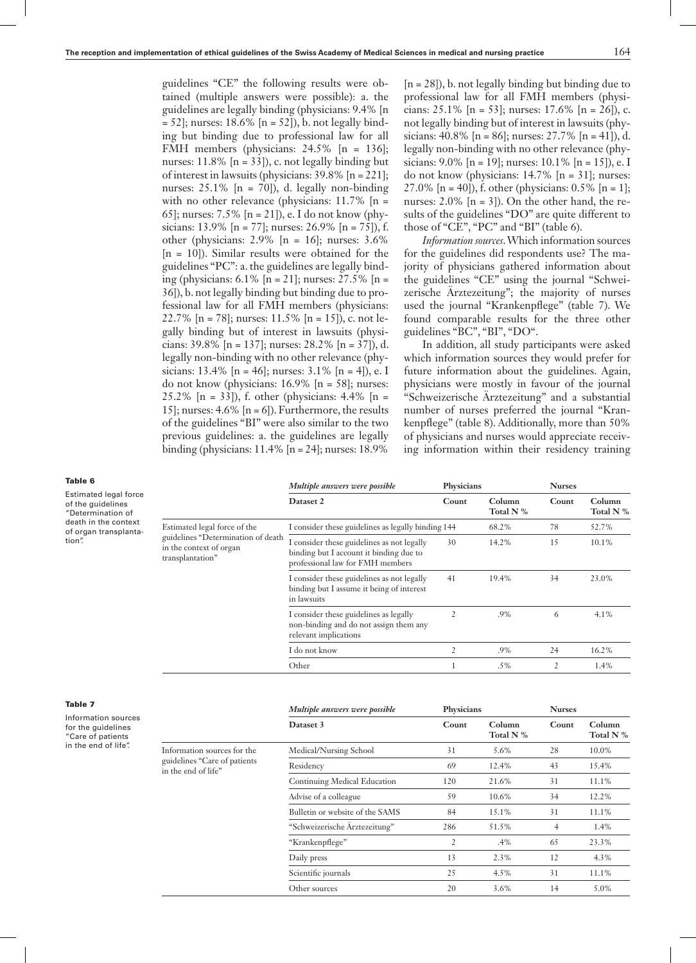guidelines "CE" the following results were obtained (multiple answers were possible): a. the guidelines are legally binding (physicians: 9.4% [n  $= 52$ ]; nurses: 18.6% [n = 52]), b. not legally binding but binding due to professional law for all FMH members (physicians: 24.5% [n = 136]; nurses:  $11.8\%$  [n = 33]), c. not legally binding but of interest in lawsuits (physicians: 39.8% [n= 221]; nurses:  $25.1\%$  [n = 70]), d. legally non-binding with no other relevance (physicians:  $11.7\%$  [n = 65]; nurses: 7.5% [n = 21]), e. I do not know (physicians: 13.9% [n = 77]; nurses: 26.9% [n = 75]), f. other (physicians:  $2.9\%$  [n = 16]; nurses:  $3.6\%$ [n = 10]). Similar results were obtained for the guidelines "PC": a. the guidelines are legally binding (physicians: 6.1% [n = 21]; nurses: 27.5% [n = 36]), b. not legally binding but binding due to professional law for all FMH members (physicians: 22.7% [n = 78]; nurses:  $11.5\%$  [n = 15]), c. not legally binding but of interest in lawsuits (physicians:  $39.8\%$  [n = 137]; nurses:  $28.2\%$  [n = 37]), d. legally non-binding with no other relevance (physicians: 13.4% [n = 46]; nurses:  $3.1\%$  [n = 4]), e. I do not know (physicians:  $16.9\%$  [n = 58]; nurses: 25.2% [n = 33]), f. other (physicians: 4.4% [n = 15]; nurses:  $4.6\%$  [n = 6]). Furthermore, the results of the guidelines "BI" were also similar to the two previous guidelines: a. the guidelines are legally binding (physicians: 11.4% [n= 24]; nurses: 18.9%

 $[n = 28]$ ), b. not legally binding but binding due to professional law for all FMH members (physicians:  $25.1\%$  [n = 53]; nurses:  $17.6\%$  [n = 26]), c. not legally binding but of interest in lawsuits (physicians:  $40.8\%$  [n =  $86$ ]; nurses:  $27.7\%$  [n =  $41$ ]), d. legally non-binding with no other relevance (physicians:  $9.0\%$  [n = 19]; nurses:  $10.1\%$  [n = 15]), e. I do not know (physicians: 14.7% [n = 31]; nurses: 27.0% [n = 40]), f. other (physicians:  $0.5\%$  [n = 1]; nurses:  $2.0\%$  [n = 3]). On the other hand, the results of the guidelines "DO" are quite different to those of "CE", "PC" and "BI" (table 6).

*Information sources*.Which information sources for the guidelines did respondents use? The majority of physicians gathered information about the guidelines "CE" using the journal "Schweizerische Ärztezeitung"; the majority of nurses used the journal "Krankenpflege" (table 7). We found comparable results for the three other guidelines "BC", "BI", "DO".

In addition, all study participants were asked which information sources they would prefer for future information about the guidelines. Again, physicians were mostly in favour of the journal "Schweizerische Ärztezeitung" and a substantial number of nurses preferred the journal "Krankenpflege" (table 8). Additionally, more than 50% of physicians and nurses would appreciate receiving information within their residency training

| Table 6                                                                                |                                                                                   | Multiple answers were possible                                                                                            | Physicians     |                        | <b>Nurses</b> |                       |
|----------------------------------------------------------------------------------------|-----------------------------------------------------------------------------------|---------------------------------------------------------------------------------------------------------------------------|----------------|------------------------|---------------|-----------------------|
| Estimated legal force<br>of the guidelines<br>"Determination of                        |                                                                                   | Dataset 2                                                                                                                 | Count          | Column<br>Total N %    | Count         | Column<br>Total N %   |
| death in the context<br>of organ transplanta-                                          | Estimated legal force of the                                                      | I consider these guidelines as legally binding 144                                                                        |                | 68.2%                  | 78            | 52.7%                 |
| tion".                                                                                 | guidelines "Determination of death<br>in the context of organ<br>transplantation" | I consider these guidelines as not legally<br>binding but I account it binding due to<br>professional law for FMH members | 30             | 14.2%                  | 15            | 10.1%                 |
|                                                                                        |                                                                                   | I consider these guidelines as not legally<br>binding but I assume it being of interest<br>in lawsuits                    | 41             | 19.4%                  | 34            | 23.0%                 |
|                                                                                        |                                                                                   | I consider these guidelines as legally<br>non-binding and do not assign them any<br>relevant implications                 | $\overline{2}$ | .9%                    | 6             | 4.1%                  |
|                                                                                        |                                                                                   | I do not know                                                                                                             | 2              | $.9\%$                 | 24            | 16.2%                 |
|                                                                                        |                                                                                   | Other                                                                                                                     |                | $.5\%$                 | 2             | 1.4%                  |
| <b>Table 7</b>                                                                         |                                                                                   | Multiple answers were possible                                                                                            | Physicians     |                        | <b>Nurses</b> |                       |
| Information sources<br>for the guidelines<br>$n_{O}$ or $\alpha$ is $n_{O}$ is $n_{O}$ |                                                                                   | Dataset 3                                                                                                                 | Count          | Column<br>Total N $\%$ | Count         | Column<br>Total $N$ % |

| ior the guidelines   |
|----------------------|
| "Care of patients    |
| in the end of life". |

Information sources for the guidelines "Care of patient in the end of life"

|           | Multiple answers were possible  | Physicians     |                     | <b>Nurses</b> |                     |  |
|-----------|---------------------------------|----------------|---------------------|---------------|---------------------|--|
|           | Dataset 3                       | Count          | Column<br>Total N % | Count         | Column<br>Total N % |  |
| he<br>ıts | Medical/Nursing School          | 31             | 5.6%                | 28            | 10.0%               |  |
|           | Residency                       | 69             | 12.4%               | 43            | 15.4%               |  |
|           | Continuing Medical Education    | 120            | 21.6%               | 31            | 11.1%               |  |
|           | Advise of a colleague           | 59             | 10.6%               | 34            | 12.2%               |  |
|           | Bulletin or website of the SAMS | 84             | 15.1%               | 31            | 11.1%               |  |
|           | "Schweizerische Ärztezeitung"   | 286            | 51.5%               | 4             | 1.4%                |  |
|           | "Krankenpflege"                 | $\overline{2}$ | .4%                 | 65            | 23.3%               |  |
|           | Daily press                     | 13             | 2.3%                | 12            | 4.3%                |  |
|           | Scientific journals             | 25             | 4.5%                | 31            | 11.1%               |  |
|           | Other sources                   | 20             | 3.6%                | 14            | 5.0%                |  |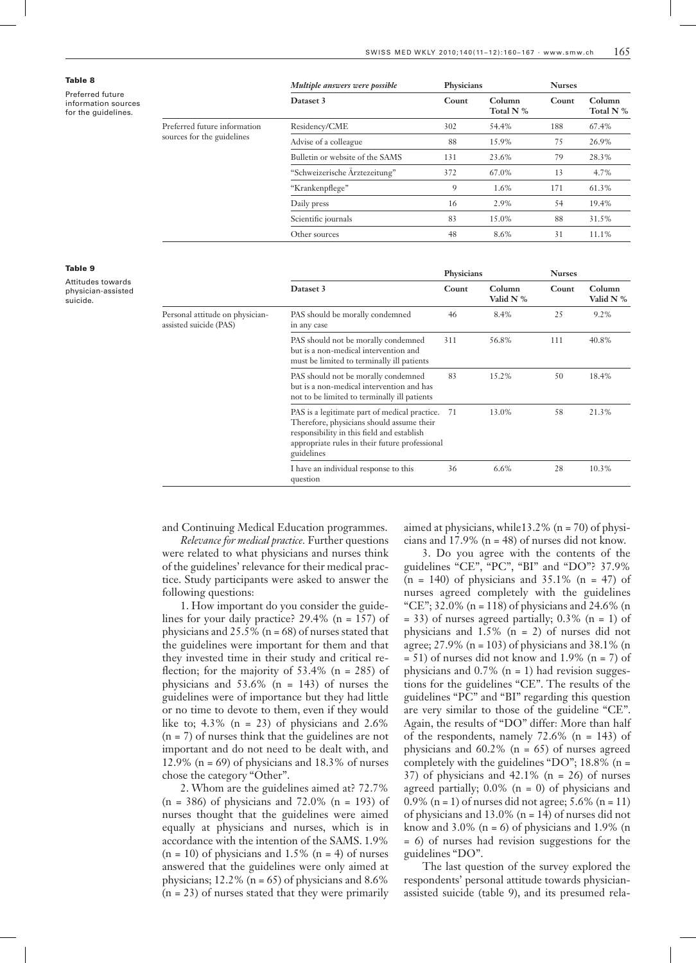| Table 8                                                        |                                                            | Multiple answers were possible  |       | Physicians          |       | <b>Nurses</b>       |  |
|----------------------------------------------------------------|------------------------------------------------------------|---------------------------------|-------|---------------------|-------|---------------------|--|
| Preferred future<br>information sources<br>for the guidelines. |                                                            | Dataset 3                       | Count | Column<br>Total N % | Count | Column<br>Total N % |  |
|                                                                | Preferred future information<br>sources for the guidelines | Residency/CME                   | 302   | 54.4%               | 188   | 67.4%               |  |
|                                                                |                                                            | Advise of a colleague           | 88    | 15.9%               | 75    | 26.9%               |  |
|                                                                |                                                            | Bulletin or website of the SAMS | 131   | 23.6%               | 79    | 28.3%               |  |
|                                                                |                                                            | "Schweizerische Ärztezeitung"   | 372   | 67.0%               | 13    | 4.7%                |  |
|                                                                |                                                            | "Krankenpflege"                 | 9     | 1.6%                | 171   | 61.3%               |  |
|                                                                |                                                            | Daily press                     | 16    | 2.9%                | 54    | 19.4%               |  |
|                                                                |                                                            | Scientific journals             | 83    | 15.0%               | 88    | 31.5%               |  |
|                                                                |                                                            | Other sources                   | 48    | 8.6%                | 31    | 11.1%               |  |

#### Table 9

Attitudes towards physician-assisted suicide.

|                                                           |                                                                                                                                                                                                          | Physicians |                              | <b>Nurses</b> |                     |
|-----------------------------------------------------------|----------------------------------------------------------------------------------------------------------------------------------------------------------------------------------------------------------|------------|------------------------------|---------------|---------------------|
|                                                           | Dataset 3                                                                                                                                                                                                | Count      | <b>Column</b><br>Valid $N$ % | Count         | Column<br>Valid N % |
| Personal attitude on physician-<br>assisted suicide (PAS) | PAS should be morally condemned<br>in any case                                                                                                                                                           | 46         | 8.4%                         | 25            | 9.2%                |
|                                                           | PAS should not be morally condemned<br>but is a non-medical intervention and<br>must be limited to terminally ill patients                                                                               | 311        | 56.8%                        | 111           | 40.8%               |
|                                                           | PAS should not be morally condemned<br>but is a non-medical intervention and has<br>not to be limited to terminally ill patients                                                                         | 83         | 15.2%                        | 50            | 18.4%               |
|                                                           | PAS is a legitimate part of medical practice.<br>Therefore, physicians should assume their<br>responsibility in this field and establish<br>appropriate rules in their future professional<br>guidelines | 71         | 13.0%                        | 58            | 21.3%               |
|                                                           | I have an individual response to this<br>question                                                                                                                                                        | 36         | 6.6%                         | 28            | 10.3%               |

and Continuing Medical Education programmes.

*Relevance for medical practice.* Further questions were related to what physicians and nurses think of the guidelines' relevance for their medical practice. Study participants were asked to answer the following questions:

1. How important do you consider the guidelines for your daily practice? 29.4% (n = 157) of physicians and  $25.5\%$  (n = 68) of nurses stated that the guidelines were important for them and that they invested time in their study and critical reflection; for the majority of  $53.4\%$  (n = 285) of physicians and  $53.6\%$  (n = 143) of nurses the guidelines were of importance but they had little or no time to devote to them, even if they would like to;  $4.3\%$  (n = 23) of physicians and  $2.6\%$ (n = 7) of nurses think that the guidelines are not important and do not need to be dealt with, and 12.9% ( $n = 69$ ) of physicians and 18.3% of nurses chose the category "Other".

2. Whom are the guidelines aimed at? 72.7%  $(n = 386)$  of physicians and 72.0%  $(n = 193)$  of nurses thought that the guidelines were aimed equally at physicians and nurses, which is in accordance with the intention of the SAMS. 1.9%  $(n = 10)$  of physicians and 1.5%  $(n = 4)$  of nurses answered that the guidelines were only aimed at physicians;  $12.2\%$  (n = 65) of physicians and 8.6%  $(n = 23)$  of nurses stated that they were primarily

aimed at physicians, while13.2% (n = 70) of physicians and  $17.9\%$  (n = 48) of nurses did not know.

3. Do you agree with the contents of the guidelines "CE", "PC", "BI" and "DO"? 37.9%  $(n = 140)$  of physicians and 35.1%  $(n = 47)$  of nurses agreed completely with the guidelines "CE";  $32.0\%$  (n = 118) of physicians and  $24.6\%$  (n  $= 33$ ) of nurses agreed partially; 0.3% (n = 1) of physicians and 1.5% (n = 2) of nurses did not agree;  $27.9\%$  (n = 103) of physicians and 38.1% (n  $= 51$ ) of nurses did not know and 1.9% (n = 7) of physicians and  $0.7\%$  (n = 1) had revision suggestions for the guidelines "CE". The results of the guidelines "PC" and "BI" regarding this question are very similar to those of the guideline "CE". Again, the results of "DO" differ: More than half of the respondents, namely 72.6% (n = 143) of physicians and  $60.2\%$  (n = 65) of nurses agreed completely with the guidelines "DO"; 18.8% (n = 37) of physicians and  $42.1\%$  (n = 26) of nurses agreed partially;  $0.0\%$  (n = 0) of physicians and 0.9% (n = 1) of nurses did not agree;  $5.6\%$  (n = 11) of physicians and  $13.0\%$  (n = 14) of nurses did not know and  $3.0\%$  (n = 6) of physicians and  $1.9\%$  (n = 6) of nurses had revision suggestions for the guidelines "DO".

The last question of the survey explored the respondents' personal attitude towards physicianassisted suicide (table 9), and its presumed rela-

### Table 8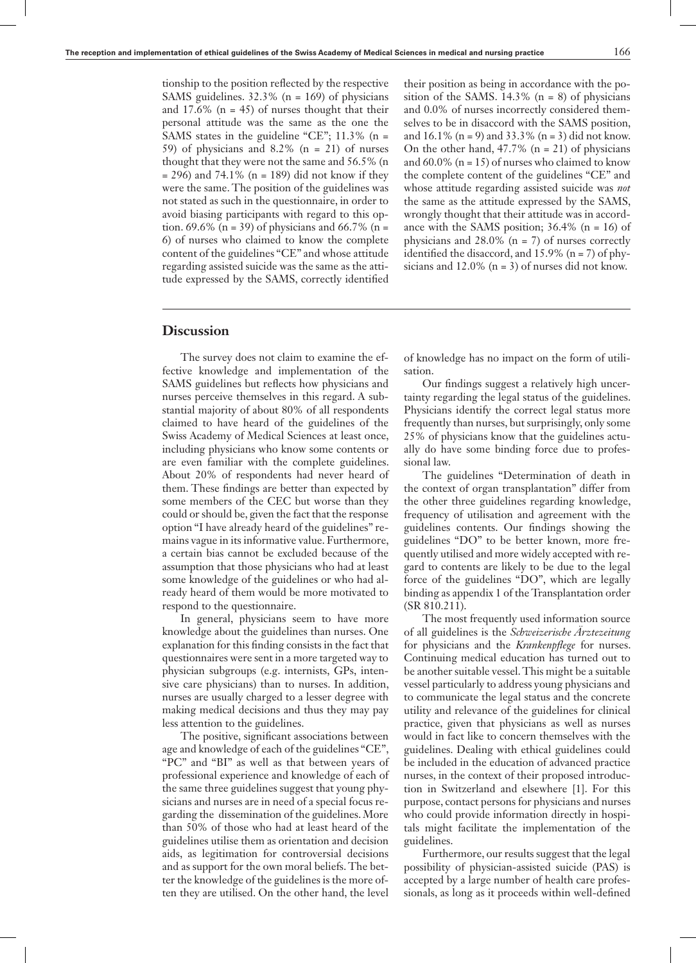tionship to the position reflected by the respective SAMS guidelines. 32.3% (n = 169) of physicians and  $17.6\%$  (n = 45) of nurses thought that their personal attitude was the same as the one the SAMS states in the guideline "CE"; 11.3% (n = 59) of physicians and 8.2% (n = 21) of nurses thought that they were not the same and 56.5% (n  $=$  296) and 74.1% (n = 189) did not know if they were the same. The position of the guidelines was not stated as such in the questionnaire, in order to avoid biasing participants with regard to this option. 69.6% (n = 39) of physicians and 66.7% (n = 6) of nurses who claimed to know the complete content of the guidelines "CE" and whose attitude regarding assisted suicide was the same as the attitude expressed by the SAMS, correctly identified

## their position as being in accordance with the position of the SAMS.  $14.3\%$  (n = 8) of physicians and 0.0% of nurses incorrectly considered themselves to be in disaccord with the SAMS position, and  $16.1\%$  (n = 9) and  $33.3\%$  (n = 3) did not know. On the other hand,  $47.7\%$  (n = 21) of physicians and  $60.0\%$  (n = 15) of nurses who claimed to know the complete content of the guidelines "CE" and whose attitude regarding assisted suicide was *not* the same as the attitude expressed by the SAMS, wrongly thought that their attitude was in accordance with the SAMS position; 36.4% (n = 16) of physicians and  $28.0\%$  (n = 7) of nurses correctly identified the disaccord, and  $15.9\%$  (n = 7) of physicians and  $12.0\%$  (n = 3) of nurses did not know.

# **Discussion**

The survey does not claim to examine the effective knowledge and implementation of the SAMS guidelines but reflects how physicians and nurses perceive themselves in this regard. A substantial majority of about 80% of all respondents claimed to have heard of the guidelines of the Swiss Academy of Medical Sciences at least once, including physicians who know some contents or are even familiar with the complete guidelines. About 20% of respondents had never heard of them. These findings are better than expected by some members of the CEC but worse than they could or should be, given the fact that the response option "I have already heard of the guidelines" remains vague in its informative value. Furthermore, a certain bias cannot be excluded because of the assumption that those physicians who had at least some knowledge of the guidelines or who had already heard of them would be more motivated to respond to the questionnaire.

In general, physicians seem to have more knowledge about the guidelines than nurses. One explanation for this finding consists in the fact that questionnaires were sent ina more targeted way to physician subgroups (e.g. internists, GPs, intensive care physicians) than to nurses. In addition, nurses are usually charged to a lesser degree with making medical decisions and thus they may pay less attention to the guidelines.

The positive, significant associations between age and knowledge of each of the guidelines "CE", "PC" and "BI" as well as that between years of professional experience and knowledge of each of the same three guidelines suggest that young physicians and nurses are in need of a special focus regarding the dissemination of the guidelines. More than 50% of those who had at least heard of the guidelines utilise them as orientation and decision aids, as legitimation for controversial decisions and as support for the own moral beliefs. The better the knowledge of the guidelines is the more often they are utilised. On the other hand, the level

of knowledge has no impact on the form of utilisation.

Our findings suggest a relatively high uncertainty regarding the legal status of the guidelines. Physicians identify the correct legal status more frequently than nurses, but surprisingly, only some 25% of physicians know that the guidelines actually do have some binding force due to professional law.

The guidelines "Determination of death in the context of organ transplantation" differ from the other three guidelines regarding knowledge, frequency of utilisation and agreement with the guidelines contents. Our findings showing the guidelines "DO" to be better known, more frequently utilised and more widely accepted with regard to contents are likely to be due to the legal force of the guidelines "DO", which are legally binding as appendix 1 of the Transplantation order (SR 810.211).

The most frequently used information source of all guidelines is the *Schweizerische Ärztezeitung* for physicians and the *Krankenpflege* for nurses. Continuing medical education has turned out to be another suitable vessel. This might be a suitable vessel particularly to address young physicians and to communicate the legal status and the concrete utility and relevance of the guidelines for clinical practice, given that physicians as well as nurses would in fact like to concern themselves with the guidelines. Dealing with ethical guidelines could be included in the education of advanced practice nurses, in the context of their proposed introduction in Switzerland and elsewhere [1]. For this purpose, contact persons for physicians and nurses who could provide information directly in hospitals might facilitate the implementation of the guidelines.

Furthermore, our results suggest that the legal possibility of physician-assisted suicide (PAS) is accepted by a large number of health care professionals, as long as it proceeds within well-defined